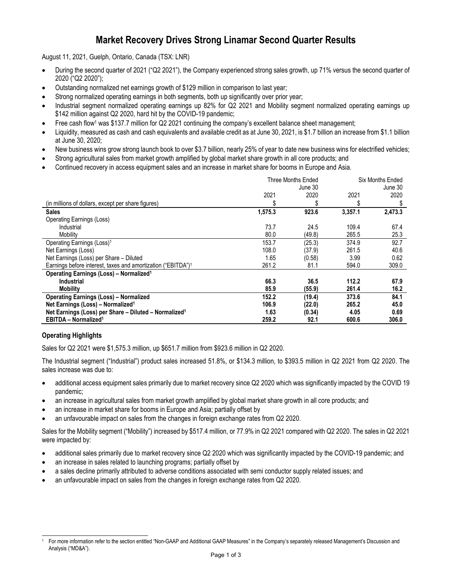# **Market Recovery Drives Strong Linamar Second Quarter Results**

August 11, 2021, Guelph, Ontario, Canada (TSX: LNR)

- During the second quarter of 2021 ("Q2 2021"), the Company experienced strong sales growth, up 71% versus the second quarter of 2020 ("Q2 2020");
- Outstanding normalized net earnings growth of \$129 million in comparison to last year;
- Strong normalized operating earnings in both segments, both up significantly over prior year;
- Industrial segment normalized operating earnings up 82% for Q2 2021 and Mobility segment normalized operating earnings up \$142 million against Q2 2020, hard hit by the COVID-19 pandemic;
- Free cash flow<sup>1</sup> was \$137.7 million for Q2 2021 continuing the company's excellent balance sheet management;
- Liquidity, measured as cash and cash equivalents and available credit as at June 30, 2021, is \$1.7 billion an increase from \$1.1 billion at June 30, 2020;
- New business wins grow strong launch book to over \$3.7 billion, nearly 25% of year to date new business wins for electrified vehicles;
- Strong agricultural sales from market growth amplified by global market share growth in all core products; and
- Continued recovery in access equipment sales and an increase in market share for booms in Europe and Asia.

|                                                                          | Three Months Ended<br>June 30 |        | Six Months Ended<br>June 30 |         |
|--------------------------------------------------------------------------|-------------------------------|--------|-----------------------------|---------|
|                                                                          | 2021                          | 2020   | 2021                        | 2020    |
| (in millions of dollars, except per share figures)                       |                               | \$     | S                           | \$      |
| <b>Sales</b>                                                             | 1,575.3                       | 923.6  | 3,357.1                     | 2,473.3 |
| <b>Operating Earnings (Loss)</b>                                         |                               |        |                             |         |
| Industrial                                                               | 73.7                          | 24.5   | 109.4                       | 67.4    |
| Mobility                                                                 | 80.0                          | (49.8) | 265.5                       | 25.3    |
| Operating Earnings (Loss) <sup>1</sup>                                   | 153.7                         | (25.3) | 374.9                       | 92.7    |
| Net Earnings (Loss)                                                      | 108.0                         | (37.9) | 261.5                       | 40.6    |
| Net Earnings (Loss) per Share - Diluted                                  | 1.65                          | (0.58) | 3.99                        | 0.62    |
| Earnings before interest, taxes and amortization ("EBITDA") <sup>1</sup> | 261.2                         | 81.1   | 594.0                       | 309.0   |
| <b>Operating Earnings (Loss) - Normalized<sup>1</sup></b>                |                               |        |                             |         |
| <b>Industrial</b>                                                        | 66.3                          | 36.5   | 112.2                       | 67.9    |
| <b>Mobility</b>                                                          | 85.9                          | (55.9) | 261.4                       | 16.2    |
| <b>Operating Earnings (Loss) - Normalized</b>                            | 152.2                         | (19.4) | 373.6                       | 84.1    |
| Net Earnings (Loss) - Normalized <sup>1</sup>                            | 106.9                         | (22.0) | 265.2                       | 45.0    |
| Net Earnings (Loss) per Share - Diluted - Normalized <sup>1</sup>        | 1.63                          | (0.34) | 4.05                        | 0.69    |
| <b>EBITDA - Normalized<sup>1</sup></b>                                   | 259.2                         | 92.1   | 600.6                       | 306.0   |

# **Operating Highlights**

Sales for Q2 2021 were \$1,575.3 million, up \$651.7 million from \$923.6 million in Q2 2020.

The Industrial segment ("Industrial") product sales increased 51.8%, or \$134.3 million, to \$393.5 million in Q2 2021 from Q2 2020. The sales increase was due to:

- additional access equipment sales primarily due to market recovery since Q2 2020 which was significantly impacted by the COVID 19 pandemic;
- an increase in agricultural sales from market growth amplified by global market share growth in all core products; and
- an increase in market share for booms in Europe and Asia; partially offset by
- an unfavourable impact on sales from the changes in foreign exchange rates from Q2 2020.

Sales for the Mobility segment ("Mobility") increased by \$517.4 million, or 77.9% in Q2 2021 compared with Q2 2020. The sales in Q2 2021 were impacted by:

- additional sales primarily due to market recovery since Q2 2020 which was significantly impacted by the COVID-19 pandemic; and
- an increase in sales related to launching programs; partially offset by
- a sales decline primarily attributed to adverse conditions associated with semi conductor supply related issues; and
- an unfavourable impact on sales from the changes in foreign exchange rates from Q2 2020.

<sup>1</sup> For more information refer to the section entitled "Non-GAAP and Additional GAAP Measures" in the Company's separately released Management's Discussion and Analysis ("MD&A").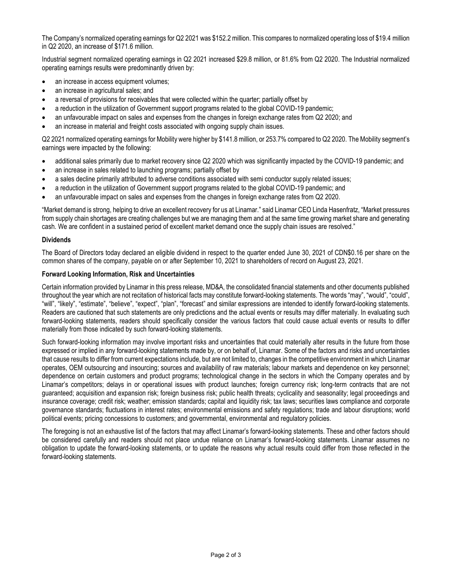The Company's normalized operating earnings for Q2 2021 was \$152.2 million. This compares to normalized operating loss of \$19.4 million in Q2 2020, an increase of \$171.6 million.

Industrial segment normalized operating earnings in Q2 2021 increased \$29.8 million, or 81.6% from Q2 2020. The Industrial normalized operating earnings results were predominantly driven by:

- an increase in access equipment volumes;
- an increase in agricultural sales; and
- a reversal of provisions for receivables that were collected within the quarter; partially offset by
- a reduction in the utilization of Government support programs related to the global COVID-19 pandemic;
- an unfavourable impact on sales and expenses from the changes in foreign exchange rates from Q2 2020; and
- an increase in material and freight costs associated with ongoing supply chain issues.

Q2 2021 normalized operating earnings for Mobility were higher by \$141.8 million, or 253.7% compared to Q2 2020. The Mobility segment's earnings were impacted by the following:

- additional sales primarily due to market recovery since Q2 2020 which was significantly impacted by the COVID-19 pandemic; and
- an increase in sales related to launching programs; partially offset by
- a sales decline primarily attributed to adverse conditions associated with semi conductor supply related issues;
- a reduction in the utilization of Government support programs related to the global COVID-19 pandemic; and
- an unfavourable impact on sales and expenses from the changes in foreign exchange rates from Q2 2020.

"Market demand is strong, helping to drive an excellent recovery for us at Linamar." said Linamar CEO Linda Hasenfratz, "Market pressures from supply chain shortages are creating challenges but we are managing them and at the same time growing market share and generating cash. We are confident in a sustained period of excellent market demand once the supply chain issues are resolved."

#### **Dividends**

The Board of Directors today declared an eligible dividend in respect to the quarter ended June 30, 2021 of CDN\$0.16 per share on the common shares of the company, payable on or after September 10, 2021 to shareholders of record on August 23, 2021.

#### **Forward Looking Information, Risk and Uncertainties**

Certain information provided by Linamar in this press release, MD&A, the consolidated financial statements and other documents published throughout the year which are not recitation of historical facts may constitute forward-looking statements. The words "may", "would", "could", "will", "likely", "estimate", "believe", "expect", "plan", "forecast" and similar expressions are intended to identify forward-looking statements. Readers are cautioned that such statements are only predictions and the actual events or results may differ materially. In evaluating such forward-looking statements, readers should specifically consider the various factors that could cause actual events or results to differ materially from those indicated by such forward-looking statements.

Such forward-looking information may involve important risks and uncertainties that could materially alter results in the future from those expressed or implied in any forward-looking statements made by, or on behalf of, Linamar. Some of the factors and risks and uncertainties that cause results to differ from current expectations include, but are not limited to, changes in the competitive environment in which Linamar operates, OEM outsourcing and insourcing; sources and availability of raw materials; labour markets and dependence on key personnel; dependence on certain customers and product programs; technological change in the sectors in which the Company operates and by Linamar's competitors; delays in or operational issues with product launches; foreign currency risk; long-term contracts that are not guaranteed; acquisition and expansion risk; foreign business risk; public health threats; cyclicality and seasonality; legal proceedings and insurance coverage; credit risk; weather; emission standards; capital and liquidity risk; tax laws; securities laws compliance and corporate governance standards; fluctuations in interest rates; environmental emissions and safety regulations; trade and labour disruptions; world political events; pricing concessions to customers; and governmental, environmental and regulatory policies.

The foregoing is not an exhaustive list of the factors that may affect Linamar's forward-looking statements. These and other factors should be considered carefully and readers should not place undue reliance on Linamar's forward-looking statements. Linamar assumes no obligation to update the forward-looking statements, or to update the reasons why actual results could differ from those reflected in the forward-looking statements.